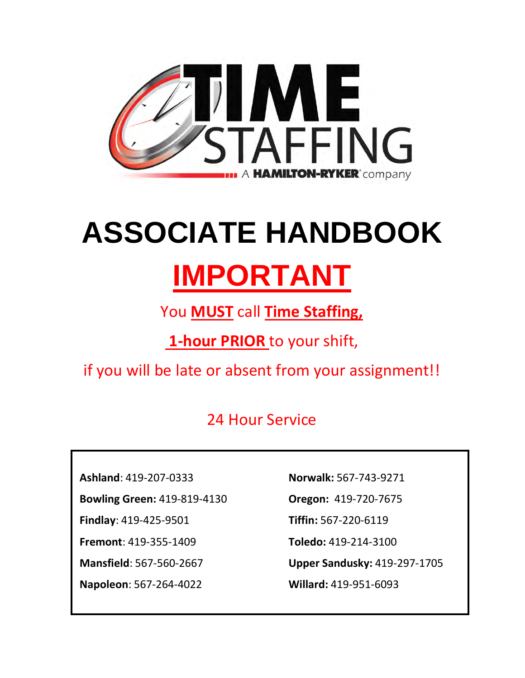

# **ASSOCIATE HANDBOOK**

## **IMPORTANT**

You **MUST** call **Time Staffing,**

**1-hour PRIOR** to your shift,

if you will be late or absent from your assignment!!

### 24 Hour Service

**Ashland**: 419-207-0333

**Bowling Green:** 419-819-4130

**Findlay**: 419-425-9501

**Fremont**: 419-355-1409

**Mansfield**: 567-560-2667

**Napoleon**: 567-264-4022

**Norwalk:** 567-743-9271

**Oregon:** 419-720-7675

**Tiffin:** 567-220-6119

**Toledo:** 419-214-3100

**Upper Sandusky:** 419-297-1705

**Willard:** 419-951-6093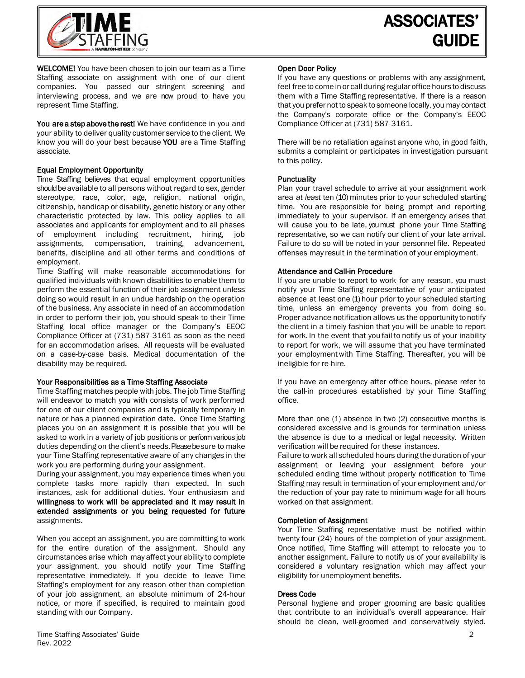

WELCOME! You have been chosen to join our team as a Time Staffing associate on assignment with one of our client companies. You passed our stringent screening and interviewing process, and we are now proud to have you represent Time Staffing.

You are a step above the rest! We have confidence in you and your ability to deliver quality customer service to the client. We know you will do your best because YOU are a Time Staffing associate.

#### Equal Employment Opportunity

Time Staffing believes that equal employment opportunities should be available to all persons without regard to sex, gender stereotype, race, color, age, religion, national origin, citizenship, handicap or disability, genetic history or any other characteristic protected by law. This policy applies to all associates and applicants for employment and to all phases of employment including recruitment, hiring, job assignments, compensation, training, advancement, benefits, discipline and all other terms and conditions of employment.

Time Staffing will make reasonable accommodations for qualified individuals with known disabilities to enable them to perform the essential function of their job assignment unless doing so would result in an undue hardship on the operation of the business. Any associate in need of an accommodation in order to perform their job, you should speak to their Time Staffing local office manager or the Company's EEOC Compliance Officer at (731) 587-3161 as soon as the need for an accommodation arises. All requests will be evaluated on a case-by-case basis. Medical documentation of the disability may be required.

#### Your Responsibilities as a Time Staffing Associate

Time Staffing matches people with jobs. The job Time Staffing will endeavor to match you with consists of work performed for one of our client companies and is typically temporary in nature or has a planned expiration date. Once Time Staffing places you on an assignment it is possible that you will be asked to work in a variety of job positions or perform various job duties depending on the client's needs. Please be sure to make your Time Staffing representative aware of any changes in the work you are performing during your assignment.

During your assignment, you may experience times when you complete tasks more rapidly than expected. In such instances, ask for additional duties. Your enthusiasm and willingness to work will be appreciated and it may result in extended assignments or you being requested for future assignments.

When you accept an assignment, you are committing to work for the entire duration of the assignment. Should any circumstances arise which may affect your ability to complete your assignment, you should notify your Time Staffing representative immediately. If you decide to leave Time Staffing's employment for any reason other than completion of your job assignment, an absolute minimum of 24-hour notice, or more if specified, is required to maintain good standing with our Company.

#### Open Door Policy

If you have any questions or problems with any assignment, feel free to come in or call during regular office hours to discuss them with a Time Staffing representative. If there is a reason that you prefer not to speak to someone locally, you may contact the Company's corporate office or the Company's EEOC Compliance Officer at (731) 587-3161.

There will be no retaliation against anyone who, in good faith, submits a complaint or participates in investigation pursuant to this policy.

#### **Punctuality**

Plan your travel schedule to arrive at your assignment work area *at least* ten (10) minutes prior to your scheduled starting time. You are responsible for being prompt and reporting immediately to your supervisor. If an emergency arises that will cause you to be late, you must phone your Time Staffing representative, so we can notify our client of your late arrival. Failure to do so will be noted in your personnel file. Repeated offenses may result in the termination of your employment.

#### Attendance and Call-in Procedure

If you are unable to report to work for any reason, you must notify your Time Staffing representative of your anticipated absence at least one (1) hour prior to your scheduled starting time, unless an emergency prevents you from doing so. Proper advance notification allows us the opportunity to notify the client in a timely fashion that you will be unable to report for work. In the event that you fail to notify us of your inability to report for work, we will assume that you have terminated your employmentwith Time Staffing. Thereafter, you will be ineligible for re-hire.

If you have an emergency after office hours, please refer to the call-in procedures established by your Time Staffing office.

More than one (1) absence in two (2) consecutive months is considered excessive and is grounds for termination unless the absence is due to a medical or legal necessity. Written verification will be required for these instances.

Failure to work all scheduled hours during the duration of your assignment or leaving your assignment before your scheduled ending time without properly notification to Time Staffing may result in termination of your employment and/or the reduction of your pay rate to minimum wage for all hours worked on that assignment.

#### Completion of Assignment

Your Time Staffing representative must be notified within twenty-four (24) hours of the completion of your assignment. Once notified, Time Staffing will attempt to relocate you to another assignment. Failure to notify us of your availability is considered a voluntary resignation which may affect your eligibility for unemployment benefits.

#### Dress Code

Personal hygiene and proper grooming are basic qualities that contribute to an individual's overall appearance. Hair should be clean, well-groomed and conservatively styled.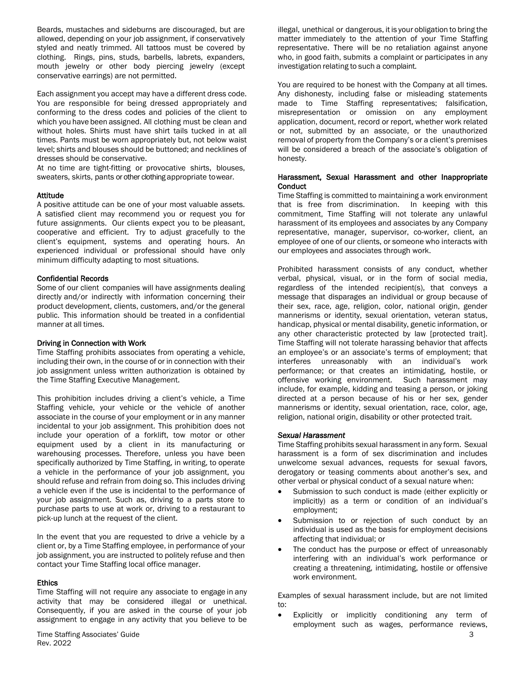Beards, mustaches and sideburns are discouraged, but are allowed, depending on your job assignment, if conservatively styled and neatly trimmed. All tattoos must be covered by clothing. Rings, pins, studs, barbells, labrets, expanders, mouth jewelry or other body piercing jewelry (except conservative earrings) are not permitted.

Each assignment you accept may have a different dress code. You are responsible for being dressed appropriately and conforming to the dress codes and policies of the client to which you have been assigned. All clothing must be clean and without holes. Shirts must have shirt tails tucked in at all times. Pants must be worn appropriately but, not below waist level; shirts and blouses should be buttoned; and necklines of dresses should be conservative.

At no time are tight-fitting or provocative shirts, blouses, sweaters, skirts, pants or other clothing appropriate towear.

#### Attitude

A positive attitude can be one of your most valuable assets. A satisfied client may recommend you or request you for future assignments. Our clients expect you to be pleasant, cooperative and efficient. Try to adjust gracefully to the client's equipment, systems and operating hours. An experienced individual or professional should have only minimum difficulty adapting to most situations.

#### Confidential Records

Some of our client companies will have assignments dealing directly and/or indirectly with information concerning their product development, clients, customers, and/or the general public. This information should be treated in a confidential manner at all times.

#### Driving in Connection with Work

Time Staffing prohibits associates from operating a vehicle, including their own, in the course of or in connection with their job assignment unless written authorization is obtained by the Time Staffing Executive Management.

This prohibition includes driving a client's vehicle, a Time Staffing vehicle, your vehicle or the vehicle of another associate in the course of your employment or in any manner incidental to your job assignment. This prohibition does not include your operation of a forklift, tow motor or other equipment used by a client in its manufacturing or warehousing processes. Therefore, unless you have been specifically authorized by Time Staffing, in writing, to operate a vehicle in the performance of your job assignment, you should refuse and refrain from doing so. This includes driving a vehicle even if the use is incidental to the performance of your job assignment. Such as, driving to a parts store to purchase parts to use at work or, driving to a restaurant to pick-up lunch at the request of the client.

In the event that you are requested to drive a vehicle by a client or, by a Time Staffing employee, in performance of your job assignment, you are instructed to politely refuse and then contact your Time Staffing local office manager.

#### **Ethics**

Time Staffing will not require any associate to engage in any activity that may be considered illegal or unethical. Consequently, if you are asked in the course of your job assignment to engage in any activity that you believe to be illegal, unethical or dangerous, it is your obligation to bring the matter immediately to the attention of your Time Staffing representative. There will be no retaliation against anyone who, in good faith, submits a complaint or participates in any investigation relating to such a complaint.

You are required to be honest with the Company at all times. Any dishonesty, including false or misleading statements made to Time Staffing representatives; falsification, misrepresentation or omission on any employment application, document, record or report, whether work related or not, submitted by an associate, or the unauthorized removal of property from the Company's or a client's premises will be considered a breach of the associate's obligation of honesty.

#### Harassment, Sexual Harassment and other Inappropriate **Conduct**

Time Staffing is committed to maintaining a work environment that is free from discrimination. In keeping with this commitment, Time Staffing will not tolerate any unlawful harassment of its employees and associates by any Company representative, manager, supervisor, co-worker, client, an employee of one of our clients, or someone who interacts with our employees and associates through work.

Prohibited harassment consists of any conduct, whether verbal, physical, visual, or in the form of social media, regardless of the intended recipient(s), that conveys a message that disparages an individual or group because of their sex, race, age, religion, color, national origin, gender mannerisms or identity, sexual orientation, veteran status, handicap, physical or mental disability, genetic information, or any other characteristic protected by law [protected trait]. Time Staffing will not tolerate harassing behavior that affects an employee's or an associate's terms of employment; that interferes unreasonably with an individual's work performance; or that creates an intimidating, hostile, or offensive working environment. Such harassment may include, for example, kidding and teasing a person, or joking directed at a person because of his or her sex, gender mannerisms or identity, sexual orientation, race, color, age, religion, national origin, disability or other protected trait.

#### *Sexual Harassment*

Time Staffing prohibits sexual harassment in any form. Sexual harassment is a form of sex discrimination and includes unwelcome sexual advances, requests for sexual favors, derogatory or teasing comments about another's sex, and other verbal or physical conduct of a sexual nature when:

- Submission to such conduct is made (either explicitly or implicitly) as a term or condition of an individual's employment;
- Submission to or rejection of such conduct by an individual is used as the basis for employment decisions affecting that individual; or
- The conduct has the purpose or effect of unreasonably interfering with an individual's work performance or creating a threatening, intimidating, hostile or offensive work environment.

Examples of sexual harassment include, but are not limited to:

Explicitly or implicitly conditioning any term of employment such as wages, performance reviews,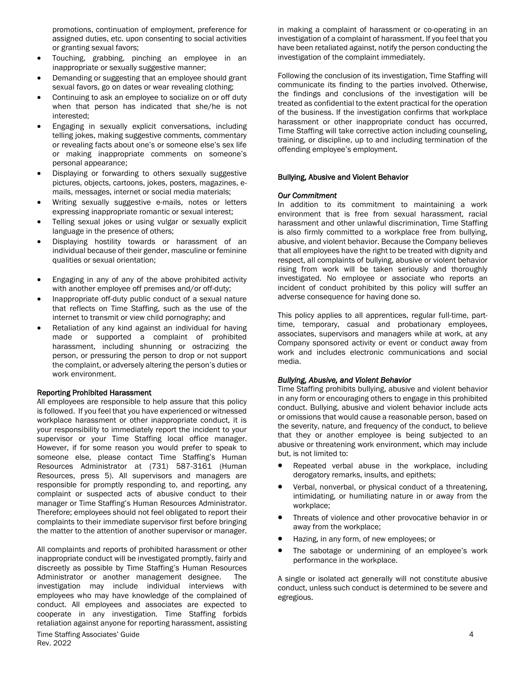promotions, continuation of employment, preference for assigned duties, etc. upon consenting to social activities or granting sexual favors;

- Touching, grabbing, pinching an employee in an inappropriate or sexually suggestive manner;
- Demanding or suggesting that an employee should grant sexual favors, go on dates or wear revealing clothing;
- Continuing to ask an employee to socialize on or off duty when that person has indicated that she/he is not interested;
- Engaging in sexually explicit conversations, including telling jokes, making suggestive comments, commentary or revealing facts about one's or someone else's sex life or making inappropriate comments on someone's personal appearance;
- Displaying or forwarding to others sexually suggestive pictures, objects, cartoons, jokes, posters, magazines, emails, messages, internet or social media materials;
- Writing sexually suggestive e-mails, notes or letters expressing inappropriate romantic or sexual interest;
- Telling sexual jokes or using vulgar or sexually explicit language in the presence of others;
- Displaying hostility towards or harassment of an individual because of their gender, masculine or feminine qualities or sexual orientation;
- Engaging in any of any of the above prohibited activity with another employee off premises and/or off-duty;
- Inappropriate off-duty public conduct of a sexual nature that reflects on Time Staffing, such as the use of the internet to transmit or view child pornography; and
- Retaliation of any kind against an individual for having made or supported a complaint of prohibited harassment, including shunning or ostracizing the person, or pressuring the person to drop or not support the complaint, or adversely altering the person's duties or work environment.

#### Reporting Prohibited Harassment

All employees are responsible to help assure that this policy is followed. If you feel that you have experienced or witnessed workplace harassment or other inappropriate conduct, it is your responsibility to immediately report the incident to your supervisor or your Time Staffing local office manager. However, if for some reason you would prefer to speak to someone else, please contact Time Staffing's Human Resources Administrator at (731) 587-3161 (Human Resources, press 5). All supervisors and managers are responsible for promptly responding to, and reporting, any complaint or suspected acts of abusive conduct to their manager or Time Staffing's Human Resources Administrator. Therefore; employees should not feel obligated to report their complaints to their immediate supervisor first before bringing the matter to the attention of another supervisor or manager.

Time Staffing Associates' Guide 4 All complaints and reports of prohibited harassment or other inappropriate conduct will be investigated promptly, fairly and discreetly as possible by Time Staffing's Human Resources Administrator or another management designee. The investigation may include individual interviews with employees who may have knowledge of the complained of conduct. All employees and associates are expected to cooperate in any investigation. Time Staffing forbids retaliation against anyone for reporting harassment, assisting

in making a complaint of harassment or co-operating in an investigation of a complaint of harassment. If you feel that you have been retaliated against, notify the person conducting the investigation of the complaint immediately.

Following the conclusion of its investigation, Time Staffing will communicate its finding to the parties involved. Otherwise, the findings and conclusions of the investigation will be treated as confidential to the extent practical for the operation of the business. If the investigation confirms that workplace harassment or other inappropriate conduct has occurred, Time Staffing will take corrective action including counseling, training, or discipline, up to and including termination of the offending employee's employment.

#### Bullying, Abusive and Violent Behavior

#### *Our Commitment*

In addition to its commitment to maintaining a work environment that is free from sexual harassment, racial harassment and other unlawful discrimination, Time Staffing is also firmly committed to a workplace free from bullying, abusive, and violent behavior. Because the Company believes that all employees have the right to be treated with dignity and respect, all complaints of bullying, abusive or violent behavior rising from work will be taken seriously and thoroughly investigated. No employee or associate who reports an incident of conduct prohibited by this policy will suffer an adverse consequence for having done so.

This policy applies to all apprentices, regular full-time, parttime, temporary, casual and probationary employees, associates, supervisors and managers while at work, at any Company sponsored activity or event or conduct away from work and includes electronic communications and social media.

#### *Bullying, Abusive, and Violent Behavior*

Time Staffing prohibits bullying, abusive and violent behavior in any form or encouraging others to engage in this prohibited conduct. Bullying, abusive and violent behavior include acts or omissions that would cause a reasonable person, based on the severity, nature, and frequency of the conduct, to believe that they or another employee is being subjected to an abusive or threatening work environment, which may include but, is not limited to:

- Repeated verbal abuse in the workplace, including derogatory remarks, insults, and epithets;
- Verbal, nonverbal, or physical conduct of a threatening, intimidating, or humiliating nature in or away from the workplace;
- Threats of violence and other provocative behavior in or away from the workplace;
- Hazing, in any form, of new employees; or
- The sabotage or undermining of an employee's work performance in the workplace.

A single or isolated act generally will not constitute abusive conduct, unless such conduct is determined to be severe and egregious.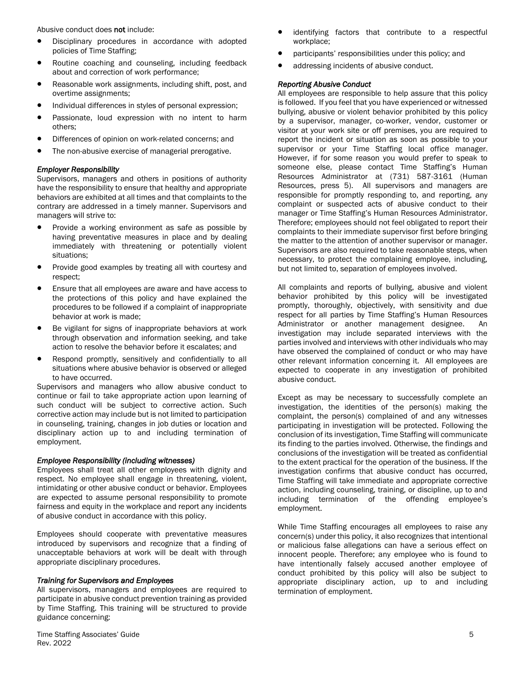Abusive conduct does not include:

- Disciplinary procedures in accordance with adopted policies of Time Staffing;
- Routine coaching and counseling, including feedback about and correction of work performance;
- Reasonable work assignments, including shift, post, and overtime assignments;
- Individual differences in styles of personal expression;
- Passionate, loud expression with no intent to harm others;
- Differences of opinion on work-related concerns; and
- The non-abusive exercise of managerial prerogative.

#### *Employer Responsibility*

Supervisors, managers and others in positions of authority have the responsibility to ensure that healthy and appropriate behaviors are exhibited at all times and that complaints to the contrary are addressed in a timely manner. Supervisors and managers will strive to:

- Provide a working environment as safe as possible by having preventative measures in place and by dealing immediately with threatening or potentially violent situations;
- Provide good examples by treating all with courtesy and respect;
- Ensure that all employees are aware and have access to the protections of this policy and have explained the procedures to be followed if a complaint of inappropriate behavior at work is made;
- Be vigilant for signs of inappropriate behaviors at work through observation and information seeking, and take action to resolve the behavior before it escalates; and
- Respond promptly, sensitively and confidentially to all situations where abusive behavior is observed or alleged to have occurred.

Supervisors and managers who allow abusive conduct to continue or fail to take appropriate action upon learning of such conduct will be subject to corrective action. Such corrective action may include but is not limited to participation in counseling, training, changes in job duties or location and disciplinary action up to and including termination of employment.

#### *Employee Responsibility (including witnesses)*

Employees shall treat all other employees with dignity and respect. No employee shall engage in threatening, violent, intimidating or other abusive conduct or behavior. Employees are expected to assume personal responsibility to promote fairness and equity in the workplace and report any incidents of abusive conduct in accordance with this policy.

Employees should cooperate with preventative measures introduced by supervisors and recognize that a finding of unacceptable behaviors at work will be dealt with through appropriate disciplinary procedures.

#### *Training for Supervisors and Employees*

All supervisors, managers and employees are required to participate in abusive conduct prevention training as provided by Time Staffing. This training will be structured to provide guidance concerning:

- identifying factors that contribute to a respectful workplace;
- participants' responsibilities under this policy; and
- addressing incidents of abusive conduct.

#### *Reporting Abusive Conduct*

All employees are responsible to help assure that this policy is followed. If you feel that you have experienced or witnessed bullying, abusive or violent behavior prohibited by this policy by a supervisor, manager, co-worker, vendor, customer or visitor at your work site or off premises, you are required to report the incident or situation as soon as possible to your supervisor or your Time Staffing local office manager. However, if for some reason you would prefer to speak to someone else, please contact Time Staffing's Human Resources Administrator at (731) 587-3161 (Human Resources, press 5). All supervisors and managers are responsible for promptly responding to, and reporting, any complaint or suspected acts of abusive conduct to their manager or Time Staffing's Human Resources Administrator. Therefore; employees should not feel obligated to report their complaints to their immediate supervisor first before bringing the matter to the attention of another supervisor or manager. Supervisors are also required to take reasonable steps, when necessary, to protect the complaining employee, including, but not limited to, separation of employees involved.

All complaints and reports of bullying, abusive and violent behavior prohibited by this policy will be investigated promptly, thoroughly, objectively, with sensitivity and due respect for all parties by Time Staffing's Human Resources Administrator or another management designee. An investigation may include separated interviews with the parties involved and interviews with other individuals who may have observed the complained of conduct or who may have other relevant information concerning it. All employees are expected to cooperate in any investigation of prohibited abusive conduct.

Except as may be necessary to successfully complete an investigation, the identities of the person(s) making the complaint, the person(s) complained of and any witnesses participating in investigation will be protected. Following the conclusion of its investigation, Time Staffing will communicate its finding to the parties involved. Otherwise, the findings and conclusions of the investigation will be treated as confidential to the extent practical for the operation of the business. If the investigation confirms that abusive conduct has occurred, Time Staffing will take immediate and appropriate corrective action, including counseling, training, or discipline, up to and including termination of the offending employee's employment.

While Time Staffing encourages all employees to raise any concern(s) under this policy, it also recognizes that intentional or malicious false allegations can have a serious effect on innocent people. Therefore; any employee who is found to have intentionally falsely accused another employee of conduct prohibited by this policy will also be subject to appropriate disciplinary action, up to and including termination of employment.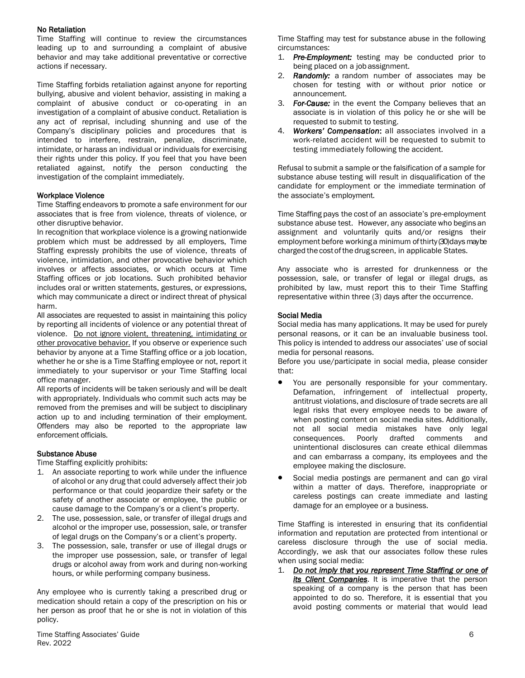#### No Retaliation

Time Staffing will continue to review the circumstances leading up to and surrounding a complaint of abusive behavior and may take additional preventative or corrective actions if necessary.

Time Staffing forbids retaliation against anyone for reporting bullying, abusive and violent behavior, assisting in making a complaint of abusive conduct or co-operating in an investigation of a complaint of abusive conduct. Retaliation is any act of reprisal, including shunning and use of the Company's disciplinary policies and procedures that is intended to interfere, restrain, penalize, discriminate, intimidate, or harass an individual or individuals for exercising their rights under this policy. If you feel that you have been retaliated against, notify the person conducting the investigation of the complaint immediately.

#### Workplace Violence

Time Staffing endeavors to promote a safe environment for our associates that is free from violence, threats of violence, or other disruptive behavior.

In recognition that workplace violence is a growing nationwide problem which must be addressed by all employers, Time Staffing expressly prohibits the use of violence, threats of violence, intimidation, and other provocative behavior which involves or affects associates, or which occurs at Time Staffing offices or job locations. Such prohibited behavior includes oral or written statements, gestures, or expressions, which may communicate a direct or indirect threat of physical harm.

All associates are requested to assist in maintaining this policy by reporting all incidents of violence or any potential threat of violence. Do not ignore violent, threatening, intimidating or other provocative behavior. If you observe or experience such behavior by anyone at a Time Staffing office or a job location, whether he or she is a Time Staffing employee or not, report it immediately to your supervisor or your Time Staffing local office manager.

All reports of incidents will be taken seriously and will be dealt with appropriately. Individuals who commit such acts may be removed from the premises and will be subject to disciplinary action up to and including termination of their employment. Offenders may also be reported to the appropriate law enforcement officials.

#### Substance Abuse

Time Staffing explicitly prohibits:

- 1. An associate reporting to work while under the influence of alcohol or any drug that could adversely affect their job performance or that could jeopardize their safety or the safety of another associate or employee, the public or cause damage to the Company's or a client's property.
- 2. The use, possession, sale, or transfer of illegal drugs and alcohol or the improper use, possession, sale, or transfer of legal drugs on the Company's or a client's property.
- 3. The possession, sale, transfer or use of illegal drugs or the improper use possession, sale, or transfer of legal drugs or alcohol away from work and during non-working hours, or while performing company business.

Any employee who is currently taking a prescribed drug or medication should retain a copy of the prescription on his or her person as proof that he or she is not in violation of this policy.

Time Staffing Associates' Guide 6 Rev. 2022

Time Staffing may test for substance abuse in the following circumstances:

- 1. *Pre-Employment:* testing may be conducted prior to being placed on a job assignment.
- 2. *Randomly:* a random number of associates may be chosen for testing with or without prior notice or announcement.
- 3. *For-Cause:* in the event the Company believes that an associate is in violation of this policy he or she will be requested to submit to testing.
- 4. *Workers' Compensation*: all associates involved in a work-related accident will be requested to submit to testing immediately following the accident.

Refusal to submit a sample or the falsification of a sample for substance abuse testing will result in disqualification of the candidate for employment or the immediate termination of the associate's employment.

Time Staffing pays the cost of an associate's pre-employment substance abuse test. However, any associate who begins an assignment and voluntarily quits and/or resigns their employment before workinga minimum ofthirty (30) days may be charged the cost of the drug screen, in applicable States.

Any associate who is arrested for drunkenness or the possession, sale, or transfer of legal or illegal drugs, as prohibited by law, must report this to their Time Staffing representative within three (3) days after the occurrence.

#### Social Media

Social media has many applications. It may be used for purely personal reasons, or it can be an invaluable business tool. This policy is intended to address our associates' use of social media for personal reasons.

Before you use/participate in social media, please consider that:

- You are personally responsible for your commentary. Defamation, infringement of intellectual property, antitrust violations, and disclosure of trade secrets are all legal risks that every employee needs to be aware of when posting content on social media sites. Additionally, not all social media mistakes have only legal consequences. Poorly drafted comments and unintentional disclosures can create ethical dilemmas and can embarrass a company, its employees and the employee making the disclosure.
- Social media postings are permanent and can go viral within a matter of days. Therefore, inappropriate or careless postings can create immediate and lasting damage for an employee or a business.

Time Staffing is interested in ensuring that its confidential information and reputation are protected from intentional or careless disclosure through the use of social media. Accordingly, we ask that our associates follow these rules when using social media:

1. *Do not imply that you represent Time Staffing or one of*  **its Client Companies**. It is imperative that the person speaking of a company is the person that has been appointed to do so. Therefore, it is essential that you avoid posting comments or material that would lead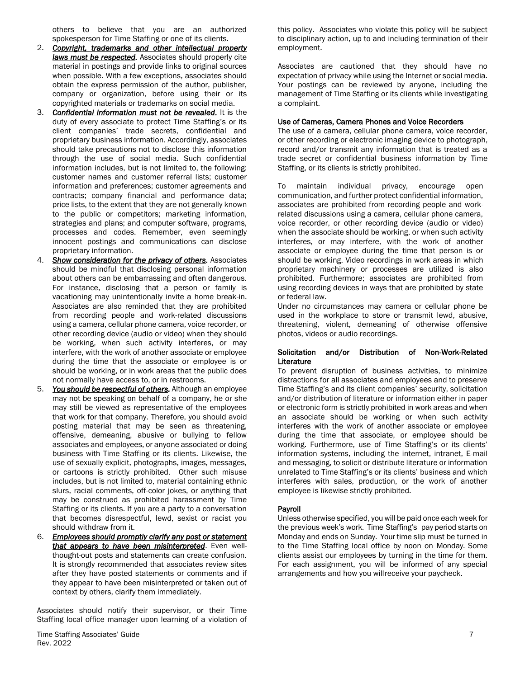others to believe that you are an authorized spokesperson for Time Staffing or one of its clients.

- 2. *Copyright, trademarks and other intellectual property laws must be respected.* Associates should properly cite material in postings and provide links to original sources when possible. With a few exceptions, associates should obtain the express permission of the author, publisher, company or organization, before using their or its copyrighted materials or trademarks on social media.
- 3. *Confidential information must not be revealed.* It is the duty of every associate to protect Time Staffing's or its client companies' trade secrets, confidential and proprietary business information. Accordingly, associates should take precautions not to disclose this information through the use of social media. Such confidential information includes, but is not limited to, the following: customer names and customer referral lists; customer information and preferences; customer agreements and contracts; company financial and performance data; price lists, to the extent that they are not generally known to the public or competitors; marketing information, strategies and plans; and computer software, programs, processes and codes. Remember, even seemingly innocent postings and communications can disclose proprietary information.
- 4. *Show consideration for the privacy of others.* Associates should be mindful that disclosing personal information about others can be embarrassing and often dangerous. For instance, disclosing that a person or family is vacationing may unintentionally invite a home break-in. Associates are also reminded that they are prohibited from recording people and work-related discussions using a camera, cellular phone camera, voice recorder, or other recording device (audio or video) when they should be working, when such activity interferes, or may interfere, with the work of another associate or employee during the time that the associate or employee is or should be working, or in work areas that the public does not normally have access to, or in restrooms.
- 5. *You should be respectful of others.* Although an employee may not be speaking on behalf of a company, he or she may still be viewed as representative of the employees that work for that company. Therefore, you should avoid posting material that may be seen as threatening, offensive, demeaning, abusive or bullying to fellow associates and employees, or anyone associated or doing business with Time Staffing or its clients. Likewise, the use of sexually explicit, photographs, images, messages, or cartoons is strictly prohibited. Other such misuse includes, but is not limited to, material containing ethnic slurs, racial comments, off-color jokes, or anything that may be construed as prohibited harassment by Time Staffing or its clients. If you are a party to a conversation that becomes disrespectful, lewd, sexist or racist you should withdraw from it.
- 6. *Employees should promptly clarify any post or statement that appears to have been misinterpreted*. Even wellthought-out posts and statements can create confusion. It is strongly recommended that associates review sites after they have posted statements or comments and if they appear to have been misinterpreted or taken out of context by others, clarify them immediately.

Associates should notify their supervisor, or their Time Staffing local office manager upon learning of a violation of

Time Staffing Associates' Guide 7 Rev. 2022

this policy. Associates who violate this policy will be subject to disciplinary action, up to and including termination of their employment.

Associates are cautioned that they should have no expectation of privacy while using the Internet or social media. Your postings can be reviewed by anyone, including the management of Time Staffing or its clients while investigating a complaint.

#### Use of Cameras, Camera Phones and Voice Recorders

The use of a camera, cellular phone camera, voice recorder, or other recording or electronic imaging device to photograph, record and/or transmit any information that is treated as a trade secret or confidential business information by Time Staffing, or its clients is strictly prohibited.

To maintain individual privacy, encourage open communication, and further protect confidential information, associates are prohibited from recording people and workrelated discussions using a camera, cellular phone camera, voice recorder, or other recording device (audio or video) when the associate should be working, or when such activity interferes, or may interfere, with the work of another associate or employee during the time that person is or should be working. Video recordings in work areas in which proprietary machinery or processes are utilized is also prohibited. Furthermore; associates are prohibited from using recording devices in ways that are prohibited by state or federal law.

Under no circumstances may camera or cellular phone be used in the workplace to store or transmit lewd, abusive, threatening, violent, demeaning of otherwise offensive photos, videos or audio recordings.

#### Solicitation and/or Distribution of Non-Work-Related **Literature**

To prevent disruption of business activities, to minimize distractions for all associates and employees and to preserve Time Staffing's and its client companies' security, solicitation and/or distribution of literature or information either in paper or electronic form is strictly prohibited in work areas and when an associate should be working or when such activity interferes with the work of another associate or employee during the time that associate, or employee should be working. Furthermore, use of Time Staffing's or its clients' information systems, including the internet, intranet, E-mail and messaging, to solicit or distribute literature or information unrelated to Time Staffing's or its clients' business and which interferes with sales, production, or the work of another employee is likewise strictly prohibited.

#### Payroll

Unless otherwise specified, you will be paid once each week for the previous week's work. Time Staffing's pay period starts on Monday and ends on Sunday. Your time slip must be turned in to the Time Staffing local office by noon on Monday. Some clients assist our employees by turning in the time for them. For each assignment, you will be informed of any special arrangements and how you willreceive your paycheck.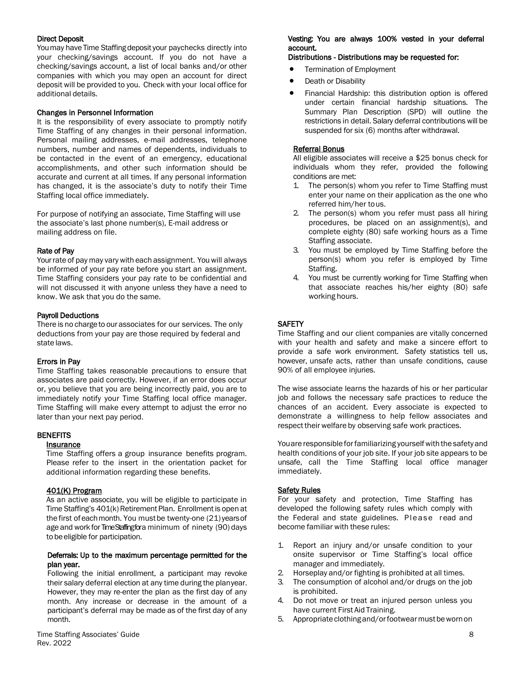#### Direct Deposit

Youmay have Time Staffing deposit your paychecks directly into your checking/savings account. If you do not have a checking/savings account, a list of local banks and/or other companies with which you may open an account for direct deposit will be provided to you. Check with your local office for additional details.

#### Changes in Personnel Information

It is the responsibility of every associate to promptly notify Time Staffing of any changes in their personal information. Personal mailing addresses, e-mail addresses, telephone numbers, number and names of dependents, individuals to be contacted in the event of an emergency, educational accomplishments, and other such information should be accurate and current at all times. If any personal information has changed, it is the associate's duty to notify their Time Staffing local office immediately.

For purpose of notifying an associate, Time Staffing will use the associate's last phone number(s), E-mail address or mailing address on file.

#### Rate of Pay

Yourrate of pay may vary with each assignment. Youwill always be informed of your pay rate before you start an assignment. Time Staffing considers your pay rate to be confidential and will not discussed it with anyone unless they have a need to know. We ask that you do the same.

#### Payroll Deductions

There is no chargeto our associates for our services. The only deductions from your pay are those required by federal and state laws.

#### Errors in Pay

Time Staffing takes reasonable precautions to ensure that associates are paid correctly. However, if an error does occur or, you believe that you are being incorrectly paid, you are to immediately notify your Time Staffing local office manager. Time Staffing will make every attempt to adjust the error no later than your next pay period.

#### **BENEFITS**

#### Insurance

Time Staffing offers a group insurance benefits program. Please refer to the insert in the orientation packet for additional information regarding these benefits.

#### 401(K) Program

As an active associate, you will be eligible to participate in Time Staffing's 401(k) Retirement Plan. Enrollment is open at the first of each month. You must be twenty-one (21) years of age and work for Time Staffing for a minimum of ninety (90) days to be eligible for participation.

#### Deferrals: Up to the maximum percentage permitted for the plan year.

Following the initial enrollment, a participant may revoke their salary deferral election at any time during the planyear. However, they may re-enter the plan as the first day of any month. Any increase or decrease in the amount of a participant's deferral may be made as of the first day of any month.

#### Vesting: You are always 100% vested in your deferral account.

#### Distributions - Distributions may be requested for:

- Termination of Employment
- Death or Disability
- Financial Hardship: this distribution option is offered under certain financial hardship situations. The Summary Plan Description (SPD) will outline the restrictions in detail. Salary deferral contributions will be suspended for six (6) months after withdrawal.

#### Referral Bonus

All eligible associates will receive a \$25 bonus check for individuals whom they refer, provided the following conditions are met:

- 1. The person(s) whom you refer to Time Staffing must enter your name on their application as the one who referred him/her tous.
- 2. The person(s) whom you refer must pass all hiring procedures, be placed on an assignment(s), and complete eighty (80) safe working hours as a Time Staffing associate.
- 3. You must be employed by Time Staffing before the person(s) whom you refer is employed by Time Staffing.
- 4. You must be currently working for Time Staffing when that associate reaches his/her eighty (80) safe working hours.

#### **SAFETY**

Time Staffing and our client companies are vitally concerned with your health and safety and make a sincere effort to provide a safe work environment. Safety statistics tell us, however, unsafe acts, rather than unsafe conditions, cause 90% of all employee injuries.

The wise associate learns the hazards of his or her particular job and follows the necessary safe practices to reduce the chances of an accident. Every associate is expected to demonstrate a willingness to help fellow associates and respect their welfare by observing safe work practices.

Youare responsible for familiarizing yourself with the safety and health conditions of your job site. If your job site appears to be unsafe, call the Time Staffing local office manager immediately.

#### **Safety Rules**

For your safety and protection, Time Staffing has developed the following safety rules which comply with the Federal and state guidelines. Please read and become familiar with these rules:

- 1. Report an injury and/or unsafe condition to your onsite supervisor or Time Staffing's local office manager and immediately.
- 2. Horseplay and/or fighting is prohibited at all times.
- 3. The consumption of alcohol and/or drugs on the job is prohibited.
- 4. Do not move or treat an injured person unless you have current First Aid Training.
- 5. Appropriateclothingand/orfootwearmustbewornon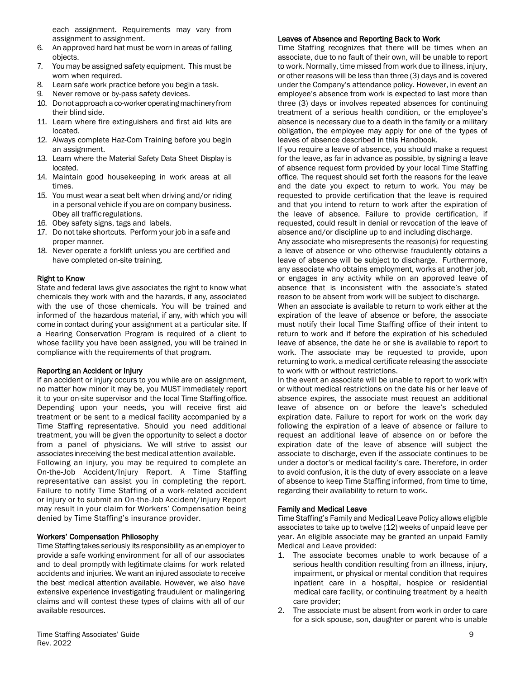each assignment. Requirements may vary from assignment to assignment.

- 6. An approved hard hat must be worn in areas of falling objects.
- 7. You may be assigned safety equipment. This must be worn when required.
- 8. Learn safe work practice before you begin a task.
- 9. Never remove or by-pass safety devices.
- 10. Do notapproach a co-workeroperatingmachinery from their blind side.
- 11. Learn where fire extinguishers and first aid kits are located.
- 12. Always complete Haz-Com Training before you begin an assignment.
- 13. Learn where the Material Safety Data Sheet Display is located.
- 14. Maintain good housekeeping in work areas at all times.
- 15. You must wear a seat belt when driving and/or riding in a personal vehicle if you are on company business. Obey all trafficregulations.
- 16. Obey safety signs, tags and labels.
- 17. Do not take shortcuts. Perform your job in a safe and proper manner.
- 18. Never operate a forklift unless you are certified and have completed on-site training.

#### Right to Know

State and federal laws give associates the right to know what chemicals they work with and the hazards, if any, associated with the use of those chemicals. You will be trained and informed of the hazardous material, if any, with which you will come in contact during your assignment at a particular site. If a Hearing Conservation Program is required of a client to whose facility you have been assigned, you will be trained in compliance with the requirements of that program.

#### Reporting an Accident or Injury

If an accident or injury occurs to you while are on assignment, no matter how minor it may be, you MUST immediately report it to your on-site supervisor and the local Time Staffing office. Depending upon your needs, you will receive first aid treatment or be sent to a medical facility accompanied by a Time Staffing representative. Should you need additional treatment, you will be given the opportunity to select a doctor from a panel of physicians. We will strive to assist our associates in receiving the best medical attention available.

Following an injury, you may be required to complete an On-the-Job Accident/Injury Report. A Time Staffing representative can assist you in completing the report. Failure to notify Time Staffing of a work-related accident or injury or to submit an On-the-Job Accident/Injury Report may result in your claim for Workers' Compensation being denied by Time Staffing's insurance provider.

#### Workers' Compensation Philosophy

Time Staffingtakes seriously its responsibility as an employer to provide a safe working environment for all of our associates and to deal promptly with legitimate claims for work related accidents and injuries. We want an injured associate to receive the best medical attention available. However, we also have extensive experience investigating fraudulent or malingering claims and will contest these types of claims with all of our available resources.

#### Leaves of Absence and Reporting Back to Work

Time Staffing recognizes that there will be times when an associate, due to no fault of their own, will be unable to report to work. Normally, time missed from work due to illness, injury, or other reasons will be less than three (3) days and is covered under the Company's attendance policy. However, in event an employee's absence from work is expected to last more than three (3) days or involves repeated absences for continuing treatment of a serious health condition, or the employee's absence is necessary due to a death in the family or a military obligation, the employee may apply for one of the types of leaves of absence described in this Handbook.

If you require a leave of absence, you should make a request for the leave, as far in advance as possible, by signing a leave of absence request form provided by your local Time Staffing office. The request should set forth the reasons for the leave and the date you expect to return to work. You may be requested to provide certification that the leave is required and that you intend to return to work after the expiration of the leave of absence. Failure to provide certification, if requested, could result in denial or revocation of the leave of absence and/or discipline up to and including discharge.

Any associate who misrepresents the reason(s) for requesting a leave of absence or who otherwise fraudulently obtains a leave of absence will be subject to discharge. Furthermore, any associate who obtains employment, works at another job, or engages in any activity while on an approved leave of absence that is inconsistent with the associate's stated reason to be absent from work will be subject to discharge.

When an associate is available to return to work either at the expiration of the leave of absence or before, the associate must notify their local Time Staffing office of their intent to return to work and if before the expiration of his scheduled leave of absence, the date he or she is available to report to work. The associate may be requested to provide, upon returning to work, a medical certificate releasing the associate to work with or without restrictions.

In the event an associate will be unable to report to work with or without medical restrictions on the date his or her leave of absence expires, the associate must request an additional leave of absence on or before the leave's scheduled expiration date. Failure to report for work on the work day following the expiration of a leave of absence or failure to request an additional leave of absence on or before the expiration date of the leave of absence will subject the associate to discharge, even if the associate continues to be under a doctor's or medical facility's care. Therefore, in order to avoid confusion, it is the duty of every associate on a leave of absence to keep Time Staffing informed, from time to time, regarding their availability to return to work.

#### Family and Medical Leave

Time Staffing's Family and Medical Leave Policy allows eligible associates to take up to twelve (12) weeks of unpaid leave per year. An eligible associate may be granted an unpaid Family Medical and Leave provided:

- 1. The associate becomes unable to work because of a serious health condition resulting from an illness, injury, impairment, or physical or mental condition that requires inpatient care in a hospital, hospice or residential medical care facility, or continuing treatment by a health care provider;
- 2. The associate must be absent from work in order to care for a sick spouse, son, daughter or parent who is unable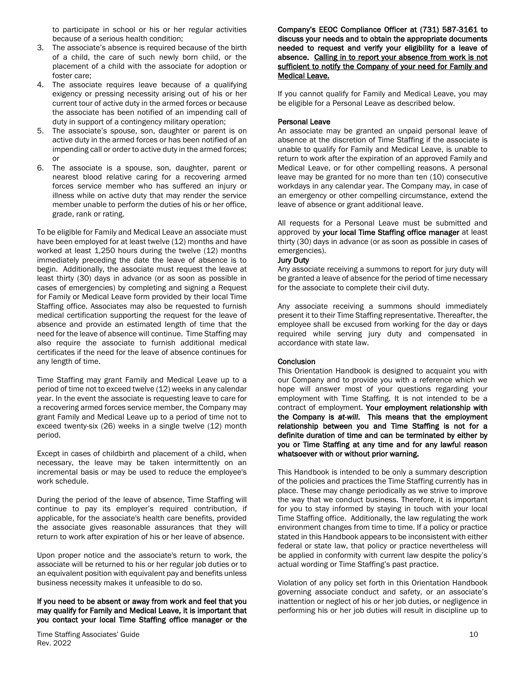to participate in school or his or her regular activities because of a serious health condition;

- 3. The associate's absence is required because of the birth of a child, the care of such newly born child, or the placement of a child with the associate for adoption or foster care;
- 4. The associate requires leave because of a qualifying exigency or pressing necessity arising out of his or her current tour of active duty in the armed forces or because the associate has been notified of an impending call of duty in support of a contingency military operation;
- 5. The associate's spouse, son, daughter or parent is on active duty in the armed forces or has been notified of an impending call or order to active duty in the armed forces; or
- 6. The associate is a spouse, son, daughter, parent or nearest blood relative caring for a recovering armed forces service member who has suffered an injury or illness while on active duty that may render the service member unable to perform the duties of his or her office, grade, rank or rating.

To be eligible for Family and Medical Leave an associate must have been employed for at least twelve (12) months and have worked at least 1,250 hours during the twelve (12) months immediately preceding the date the leave of absence is to begin. Additionally, the associate must request the leave at least thirty (30) days in advance (or as soon as possible in cases of emergencies) by completing and signing a Request for Family or Medical Leave form provided by their local Time Staffing office. Associates may also be requested to furnish medical certification supporting the request for the leave of absence and provide an estimated length of time that the need for the leave of absence will continue. Time Staffing may also require the associate to furnish additional medical certificates if the need for the leave of absence continues for any length of time.

Time Staffing may grant Family and Medical Leave up to a period of time not to exceed twelve (12) weeks in any calendar year. In the event the associate is requesting leave to care for a recovering armed forces service member, the Company may grant Family and Medical Leave up to a period of time not to exceed twenty-six (26) weeks in a single twelve (12) month period.

Except in cases of childbirth and placement of a child, when necessary, the leave may be taken intermittently on an incremental basis or may be used to reduce the employee's work schedule.

During the period of the leave of absence, Time Staffing will continue to pay its employer's required contribution, if applicable, for the associate's health care benefits, provided the associate gives reasonable assurances that they will return to work after expiration of his or her leave of absence.

Upon proper notice and the associate's return to work, the associate will be returned to his or her regular job duties or to an equivalent position with equivalent pay and benefits unless business necessity makes it unfeasible to do so.

#### If you need to be absent or away from work and feel that you may qualify for Family and Medical Leave, it is important that you contact your local Time Staffing office manager or the

Time Staffing Associates' Guide 10 and the state of the state of the state of the state of the state of the state of the state of the state of the state of the state of the state of the state of the state of the state of t Rev. 2022

Company's EEOC Compliance Officer at (731) 587-3161 to discuss your needs and to obtain the appropriate documents needed to request and verify your eligibility for a leave of absence. Calling in to report your absence from work is not sufficient to notify the Company of your need for Family and Medical Leave.

If you cannot qualify for Family and Medical Leave, you may be eligible for a Personal Leave as described below.

#### Personal Leave

An associate may be granted an unpaid personal leave of absence at the discretion of Time Staffing if the associate is unable to qualify for Family and Medical Leave, is unable to return to work after the expiration of an approved Family and Medical Leave, or for other compelling reasons. A personal leave may be granted for no more than ten (10) consecutive workdays in any calendar year. The Company may, in case of an emergency or other compelling circumstance, extend the leave of absence or grant additional leave.

All requests for a Personal Leave must be submitted and approved by your local Time Staffing office manager at least thirty (30) days in advance (or as soon as possible in cases of emergencies).

#### Jury Duty

Any associate receiving a summons to report for jury duty will be granted a leave of absence for the period of time necessary for the associate to complete their civil duty.

Any associate receiving a summons should immediately present it to their Time Staffing representative. Thereafter, the employee shall be excused from working for the day or days required while serving jury duty and compensated in accordance with state law.

#### **Conclusion**

This Orientation Handbook is designed to acquaint you with our Company and to provide you with a reference which we hope will answer most of your questions regarding your employment with Time Staffing. It is not intended to be a contract of employment. Your employment relationship with the Company is *at-will*. This means that the employment relationship between you and Time Staffing is not for a definite duration of time and can be terminated by either by you or Time Staffing at any time and for any lawful reason whatsoever with or without prior warning.

This Handbook is intended to be only a summary description of the policies and practices the Time Staffing currently has in place. These may change periodically as we strive to improve the way that we conduct business. Therefore, it is important for you to stay informed by staying in touch with your local Time Staffing office. Additionally, the law regulating the work environment changes from time to time. If a policy or practice stated in this Handbook appears to be inconsistent with either federal or state law, that policy or practice nevertheless will be applied in conformity with current law despite the policy's actual wording or Time Staffing's past practice.

Violation of any policy set forth in this Orientation Handbook governing associate conduct and safety, or an associate's inattention or neglect of his or her job duties, or negligence in performing his or her job duties will result in discipline up to